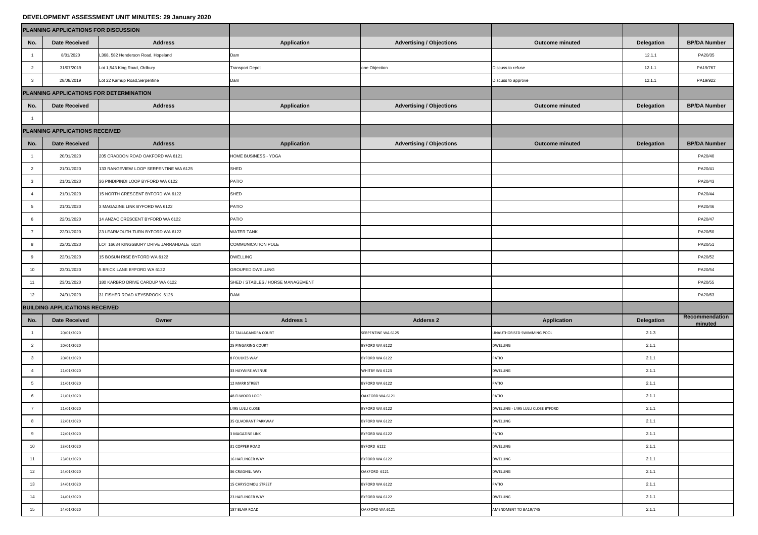## **DEVELOPMENT ASSESSMENT UNIT MINUTES: 29 January 2020**

| PLANNING APPLICATIONS FOR DISCUSSION<br><b>Advertising / Objections</b><br>No.<br><b>Address</b><br><b>Application</b><br><b>BP/DA Number</b><br><b>Outcome minuted</b><br><b>Delegation</b><br><b>Date Received</b><br>PA20/35<br>L368, 582 Henderson Road, Hopeland<br>8/01/2020<br>12.1.1<br>Dam<br>Lot 1,543 King Road, Oldbury<br>one Objection<br>PA19/767<br>$\overline{2}$<br>31/07/2019<br><b>Transport Depot</b><br>12.1.1<br>Discuss to refuse<br>Lot 22 Karnup Road, Serpentine<br>28/08/2019<br>PA19/922<br>12.1.1<br>$\mathbf{3}$<br>Dam<br>Discuss to approve<br><b>Advertising / Objections</b><br><b>Address</b><br><b>Application</b><br><b>Delegation</b><br><b>BP/DA Number</b><br><b>Date Received</b><br><b>Outcome minuted</b><br>No.<br>PLANNING APPLICATIONS RECEIVED<br>No.<br><b>Address</b><br><b>Application</b><br><b>Advertising / Objections</b><br><b>BP/DA Number</b><br><b>Date Received</b><br><b>Outcome minuted</b><br><b>Delegation</b><br>205 CRADDON ROAD OAKFORD WA 6121<br>HOME BUSINESS - YOGA<br>PA20/40<br>20/01/2020<br>PA20/41<br>21/01/2020<br>$\overline{2}$<br>133 RANGEVIEW LOOP SERPENTINE WA 6125<br>SHED<br>21/01/2020<br>36 PINDIPINDI LOOP BYFORD WA 6122<br>PA20/43<br>PATIO<br>SHED<br>PA20/44<br>21/01/2020<br>15 NORTH CRESCENT BYFORD WA 6122<br>PA20/46<br><b>PATIO</b><br>3 MAGAZINE LINK BYFORD WA 6122<br>21/01/2020<br>14 ANZAC CRESCENT BYFORD WA 6122<br>PA20/47<br><b>PATIO</b><br>22/01/2020<br>6<br><b>WATER TANK</b><br>PA20/50<br>22/01/2020<br>23 LEARMOUTH TURN BYFORD WA 6122<br>PA20/51<br>22/01/2020<br>LOT 16634 KINGSBURY DRIVE JARRAHDALE 6124<br><b>COMMUNICATION POLE</b><br>-8<br><b>DWELLING</b><br>PA20/52<br>22/01/2020<br>15 BOSUN RISE BYFORD WA 6122<br>9<br>5 BRICK LANE BYFORD WA 6122<br><b>GROUPED DWELLING</b><br>PA20/54<br>10 <sup>1</sup><br>23/01/2020<br>PA20/55<br>23/01/2020<br>SHED / STABLES / HORSE MANAGEMENT<br>11<br>180 KARBRO DRIVE CARDUP WA 6122<br>12<br>PA20/63<br>24/01/2020<br>31 FISHER ROAD KEYSBROOK 6126<br><b>DAM</b><br>Recommendation<br>No.<br><b>Adderss 2</b><br><b>Application</b><br><b>Delegation</b><br>Owner<br><b>Address 1</b><br><b>Date Received</b><br>minuted<br>2.1.3<br>20/01/2020<br>22 TALLAGANDRA COURT<br>SERPENTINE WA 6125<br>UNAUTHORISED SWIMMING POOL<br>$\overline{2}$<br>2.1.1<br>20/01/2020<br><b>25 PINGARING COURT</b><br>BYFORD WA 6122<br><b>DWELLING</b><br>2.1.1<br>$\mathbf{3}$<br>20/01/2020<br><b>8 FOULKES WAY</b><br>BYFORD WA 6122<br><b>PATIO</b><br>2.1.1<br>21/01/2020<br>WHITBY WA 6123<br><b>DWELLING</b><br>33 HAYWIRE AVENUE<br>-4<br>2.1.1<br>$5\overline{)}$<br>21/01/2020<br>12 MARR STREET<br>BYFORD WA 6122<br><b>PATIO</b><br>$6\overline{6}$<br>2.1.1<br>21/01/2020<br>48 ELWOOD LOOP<br><b>PATIO</b><br>OAKFORD WA 6121<br>$\overline{7}$<br>2.1.1<br>21/01/2020<br>L495 LULU CLOSE<br>BYFORD WA 6122<br>DWELLING - L495 LULU CLOSE BYFORD<br>2.1.1<br>35 QUADRANT PARKWAY<br>8<br>22/01/2020<br>BYFORD WA 6122<br><b>DWELLING</b><br>9<br>2.1.1<br>22/01/2020<br>3 MAGAZINE LINK<br>BYFORD WA 6122<br><b>PATIO</b><br>10<br>2.1.1<br>23/01/2020<br>31 COPPER ROAD<br>BYFORD 6122<br><b>DWELLING</b><br>11<br>2.1.1<br>23/01/2020<br>16 HAFLINGER WAY<br>BYFORD WA 6122<br><b>DWELLING</b><br>12<br>2.1.1<br>OAKFORD 6121<br>24/01/2020<br>36 CRAGHILL WAY<br><b>DWELLING</b><br>13<br>2.1.1<br>24/01/2020<br>15 CHRYSOMOU STREET<br><b>PATIO</b><br>BYFORD WA 6122<br>14<br>2.1.1<br>24/01/2020<br>23 HAFLINGER WAY<br>BYFORD WA 6122<br><b>DWELLING</b><br>15<br>2.1.1<br>24/01/2020<br>187 BLAIR ROAD<br>OAKFORD WA 6121<br>AMENDMENT TO BA19/745 | DEVELOPINENT ASSESSINENT UNIT MINUTES. ZU JAHUAI J ZUZU |  |  |  |  |  |  |  |  |  |  |  |
|-----------------------------------------------------------------------------------------------------------------------------------------------------------------------------------------------------------------------------------------------------------------------------------------------------------------------------------------------------------------------------------------------------------------------------------------------------------------------------------------------------------------------------------------------------------------------------------------------------------------------------------------------------------------------------------------------------------------------------------------------------------------------------------------------------------------------------------------------------------------------------------------------------------------------------------------------------------------------------------------------------------------------------------------------------------------------------------------------------------------------------------------------------------------------------------------------------------------------------------------------------------------------------------------------------------------------------------------------------------------------------------------------------------------------------------------------------------------------------------------------------------------------------------------------------------------------------------------------------------------------------------------------------------------------------------------------------------------------------------------------------------------------------------------------------------------------------------------------------------------------------------------------------------------------------------------------------------------------------------------------------------------------------------------------------------------------------------------------------------------------------------------------------------------------------------------------------------------------------------------------------------------------------------------------------------------------------------------------------------------------------------------------------------------------------------------------------------------------------------------------------------------------------------------------------------------------------------------------------------------------------------------------------------------------------------------------------------------------------------------------------------------------------------------------------------------------------------------------------------------------------------------------------------------------------------------------------------------------------------------------------------------------------------------------------------------------------------------------------------------------------------------------------------------------------------------------------------------------------------------------------------------------------------------------------------------------------------------------------------------------------------------------------------------------------------------------------------------------------------------------------------------------------------------------------------------------------------------------------------------------------------------|---------------------------------------------------------|--|--|--|--|--|--|--|--|--|--|--|
|                                                                                                                                                                                                                                                                                                                                                                                                                                                                                                                                                                                                                                                                                                                                                                                                                                                                                                                                                                                                                                                                                                                                                                                                                                                                                                                                                                                                                                                                                                                                                                                                                                                                                                                                                                                                                                                                                                                                                                                                                                                                                                                                                                                                                                                                                                                                                                                                                                                                                                                                                                                                                                                                                                                                                                                                                                                                                                                                                                                                                                                                                                                                                                                                                                                                                                                                                                                                                                                                                                                                                                                                                                         |                                                         |  |  |  |  |  |  |  |  |  |  |  |
|                                                                                                                                                                                                                                                                                                                                                                                                                                                                                                                                                                                                                                                                                                                                                                                                                                                                                                                                                                                                                                                                                                                                                                                                                                                                                                                                                                                                                                                                                                                                                                                                                                                                                                                                                                                                                                                                                                                                                                                                                                                                                                                                                                                                                                                                                                                                                                                                                                                                                                                                                                                                                                                                                                                                                                                                                                                                                                                                                                                                                                                                                                                                                                                                                                                                                                                                                                                                                                                                                                                                                                                                                                         |                                                         |  |  |  |  |  |  |  |  |  |  |  |
|                                                                                                                                                                                                                                                                                                                                                                                                                                                                                                                                                                                                                                                                                                                                                                                                                                                                                                                                                                                                                                                                                                                                                                                                                                                                                                                                                                                                                                                                                                                                                                                                                                                                                                                                                                                                                                                                                                                                                                                                                                                                                                                                                                                                                                                                                                                                                                                                                                                                                                                                                                                                                                                                                                                                                                                                                                                                                                                                                                                                                                                                                                                                                                                                                                                                                                                                                                                                                                                                                                                                                                                                                                         |                                                         |  |  |  |  |  |  |  |  |  |  |  |
|                                                                                                                                                                                                                                                                                                                                                                                                                                                                                                                                                                                                                                                                                                                                                                                                                                                                                                                                                                                                                                                                                                                                                                                                                                                                                                                                                                                                                                                                                                                                                                                                                                                                                                                                                                                                                                                                                                                                                                                                                                                                                                                                                                                                                                                                                                                                                                                                                                                                                                                                                                                                                                                                                                                                                                                                                                                                                                                                                                                                                                                                                                                                                                                                                                                                                                                                                                                                                                                                                                                                                                                                                                         |                                                         |  |  |  |  |  |  |  |  |  |  |  |
|                                                                                                                                                                                                                                                                                                                                                                                                                                                                                                                                                                                                                                                                                                                                                                                                                                                                                                                                                                                                                                                                                                                                                                                                                                                                                                                                                                                                                                                                                                                                                                                                                                                                                                                                                                                                                                                                                                                                                                                                                                                                                                                                                                                                                                                                                                                                                                                                                                                                                                                                                                                                                                                                                                                                                                                                                                                                                                                                                                                                                                                                                                                                                                                                                                                                                                                                                                                                                                                                                                                                                                                                                                         |                                                         |  |  |  |  |  |  |  |  |  |  |  |
|                                                                                                                                                                                                                                                                                                                                                                                                                                                                                                                                                                                                                                                                                                                                                                                                                                                                                                                                                                                                                                                                                                                                                                                                                                                                                                                                                                                                                                                                                                                                                                                                                                                                                                                                                                                                                                                                                                                                                                                                                                                                                                                                                                                                                                                                                                                                                                                                                                                                                                                                                                                                                                                                                                                                                                                                                                                                                                                                                                                                                                                                                                                                                                                                                                                                                                                                                                                                                                                                                                                                                                                                                                         | <b>PLANNING APPLICATIONS FOR DETERMINATION</b>          |  |  |  |  |  |  |  |  |  |  |  |
|                                                                                                                                                                                                                                                                                                                                                                                                                                                                                                                                                                                                                                                                                                                                                                                                                                                                                                                                                                                                                                                                                                                                                                                                                                                                                                                                                                                                                                                                                                                                                                                                                                                                                                                                                                                                                                                                                                                                                                                                                                                                                                                                                                                                                                                                                                                                                                                                                                                                                                                                                                                                                                                                                                                                                                                                                                                                                                                                                                                                                                                                                                                                                                                                                                                                                                                                                                                                                                                                                                                                                                                                                                         |                                                         |  |  |  |  |  |  |  |  |  |  |  |
|                                                                                                                                                                                                                                                                                                                                                                                                                                                                                                                                                                                                                                                                                                                                                                                                                                                                                                                                                                                                                                                                                                                                                                                                                                                                                                                                                                                                                                                                                                                                                                                                                                                                                                                                                                                                                                                                                                                                                                                                                                                                                                                                                                                                                                                                                                                                                                                                                                                                                                                                                                                                                                                                                                                                                                                                                                                                                                                                                                                                                                                                                                                                                                                                                                                                                                                                                                                                                                                                                                                                                                                                                                         |                                                         |  |  |  |  |  |  |  |  |  |  |  |
|                                                                                                                                                                                                                                                                                                                                                                                                                                                                                                                                                                                                                                                                                                                                                                                                                                                                                                                                                                                                                                                                                                                                                                                                                                                                                                                                                                                                                                                                                                                                                                                                                                                                                                                                                                                                                                                                                                                                                                                                                                                                                                                                                                                                                                                                                                                                                                                                                                                                                                                                                                                                                                                                                                                                                                                                                                                                                                                                                                                                                                                                                                                                                                                                                                                                                                                                                                                                                                                                                                                                                                                                                                         |                                                         |  |  |  |  |  |  |  |  |  |  |  |
|                                                                                                                                                                                                                                                                                                                                                                                                                                                                                                                                                                                                                                                                                                                                                                                                                                                                                                                                                                                                                                                                                                                                                                                                                                                                                                                                                                                                                                                                                                                                                                                                                                                                                                                                                                                                                                                                                                                                                                                                                                                                                                                                                                                                                                                                                                                                                                                                                                                                                                                                                                                                                                                                                                                                                                                                                                                                                                                                                                                                                                                                                                                                                                                                                                                                                                                                                                                                                                                                                                                                                                                                                                         |                                                         |  |  |  |  |  |  |  |  |  |  |  |
|                                                                                                                                                                                                                                                                                                                                                                                                                                                                                                                                                                                                                                                                                                                                                                                                                                                                                                                                                                                                                                                                                                                                                                                                                                                                                                                                                                                                                                                                                                                                                                                                                                                                                                                                                                                                                                                                                                                                                                                                                                                                                                                                                                                                                                                                                                                                                                                                                                                                                                                                                                                                                                                                                                                                                                                                                                                                                                                                                                                                                                                                                                                                                                                                                                                                                                                                                                                                                                                                                                                                                                                                                                         |                                                         |  |  |  |  |  |  |  |  |  |  |  |
|                                                                                                                                                                                                                                                                                                                                                                                                                                                                                                                                                                                                                                                                                                                                                                                                                                                                                                                                                                                                                                                                                                                                                                                                                                                                                                                                                                                                                                                                                                                                                                                                                                                                                                                                                                                                                                                                                                                                                                                                                                                                                                                                                                                                                                                                                                                                                                                                                                                                                                                                                                                                                                                                                                                                                                                                                                                                                                                                                                                                                                                                                                                                                                                                                                                                                                                                                                                                                                                                                                                                                                                                                                         |                                                         |  |  |  |  |  |  |  |  |  |  |  |
|                                                                                                                                                                                                                                                                                                                                                                                                                                                                                                                                                                                                                                                                                                                                                                                                                                                                                                                                                                                                                                                                                                                                                                                                                                                                                                                                                                                                                                                                                                                                                                                                                                                                                                                                                                                                                                                                                                                                                                                                                                                                                                                                                                                                                                                                                                                                                                                                                                                                                                                                                                                                                                                                                                                                                                                                                                                                                                                                                                                                                                                                                                                                                                                                                                                                                                                                                                                                                                                                                                                                                                                                                                         |                                                         |  |  |  |  |  |  |  |  |  |  |  |
|                                                                                                                                                                                                                                                                                                                                                                                                                                                                                                                                                                                                                                                                                                                                                                                                                                                                                                                                                                                                                                                                                                                                                                                                                                                                                                                                                                                                                                                                                                                                                                                                                                                                                                                                                                                                                                                                                                                                                                                                                                                                                                                                                                                                                                                                                                                                                                                                                                                                                                                                                                                                                                                                                                                                                                                                                                                                                                                                                                                                                                                                                                                                                                                                                                                                                                                                                                                                                                                                                                                                                                                                                                         |                                                         |  |  |  |  |  |  |  |  |  |  |  |
|                                                                                                                                                                                                                                                                                                                                                                                                                                                                                                                                                                                                                                                                                                                                                                                                                                                                                                                                                                                                                                                                                                                                                                                                                                                                                                                                                                                                                                                                                                                                                                                                                                                                                                                                                                                                                                                                                                                                                                                                                                                                                                                                                                                                                                                                                                                                                                                                                                                                                                                                                                                                                                                                                                                                                                                                                                                                                                                                                                                                                                                                                                                                                                                                                                                                                                                                                                                                                                                                                                                                                                                                                                         |                                                         |  |  |  |  |  |  |  |  |  |  |  |
|                                                                                                                                                                                                                                                                                                                                                                                                                                                                                                                                                                                                                                                                                                                                                                                                                                                                                                                                                                                                                                                                                                                                                                                                                                                                                                                                                                                                                                                                                                                                                                                                                                                                                                                                                                                                                                                                                                                                                                                                                                                                                                                                                                                                                                                                                                                                                                                                                                                                                                                                                                                                                                                                                                                                                                                                                                                                                                                                                                                                                                                                                                                                                                                                                                                                                                                                                                                                                                                                                                                                                                                                                                         |                                                         |  |  |  |  |  |  |  |  |  |  |  |
|                                                                                                                                                                                                                                                                                                                                                                                                                                                                                                                                                                                                                                                                                                                                                                                                                                                                                                                                                                                                                                                                                                                                                                                                                                                                                                                                                                                                                                                                                                                                                                                                                                                                                                                                                                                                                                                                                                                                                                                                                                                                                                                                                                                                                                                                                                                                                                                                                                                                                                                                                                                                                                                                                                                                                                                                                                                                                                                                                                                                                                                                                                                                                                                                                                                                                                                                                                                                                                                                                                                                                                                                                                         |                                                         |  |  |  |  |  |  |  |  |  |  |  |
|                                                                                                                                                                                                                                                                                                                                                                                                                                                                                                                                                                                                                                                                                                                                                                                                                                                                                                                                                                                                                                                                                                                                                                                                                                                                                                                                                                                                                                                                                                                                                                                                                                                                                                                                                                                                                                                                                                                                                                                                                                                                                                                                                                                                                                                                                                                                                                                                                                                                                                                                                                                                                                                                                                                                                                                                                                                                                                                                                                                                                                                                                                                                                                                                                                                                                                                                                                                                                                                                                                                                                                                                                                         |                                                         |  |  |  |  |  |  |  |  |  |  |  |
|                                                                                                                                                                                                                                                                                                                                                                                                                                                                                                                                                                                                                                                                                                                                                                                                                                                                                                                                                                                                                                                                                                                                                                                                                                                                                                                                                                                                                                                                                                                                                                                                                                                                                                                                                                                                                                                                                                                                                                                                                                                                                                                                                                                                                                                                                                                                                                                                                                                                                                                                                                                                                                                                                                                                                                                                                                                                                                                                                                                                                                                                                                                                                                                                                                                                                                                                                                                                                                                                                                                                                                                                                                         |                                                         |  |  |  |  |  |  |  |  |  |  |  |
|                                                                                                                                                                                                                                                                                                                                                                                                                                                                                                                                                                                                                                                                                                                                                                                                                                                                                                                                                                                                                                                                                                                                                                                                                                                                                                                                                                                                                                                                                                                                                                                                                                                                                                                                                                                                                                                                                                                                                                                                                                                                                                                                                                                                                                                                                                                                                                                                                                                                                                                                                                                                                                                                                                                                                                                                                                                                                                                                                                                                                                                                                                                                                                                                                                                                                                                                                                                                                                                                                                                                                                                                                                         |                                                         |  |  |  |  |  |  |  |  |  |  |  |
|                                                                                                                                                                                                                                                                                                                                                                                                                                                                                                                                                                                                                                                                                                                                                                                                                                                                                                                                                                                                                                                                                                                                                                                                                                                                                                                                                                                                                                                                                                                                                                                                                                                                                                                                                                                                                                                                                                                                                                                                                                                                                                                                                                                                                                                                                                                                                                                                                                                                                                                                                                                                                                                                                                                                                                                                                                                                                                                                                                                                                                                                                                                                                                                                                                                                                                                                                                                                                                                                                                                                                                                                                                         |                                                         |  |  |  |  |  |  |  |  |  |  |  |
|                                                                                                                                                                                                                                                                                                                                                                                                                                                                                                                                                                                                                                                                                                                                                                                                                                                                                                                                                                                                                                                                                                                                                                                                                                                                                                                                                                                                                                                                                                                                                                                                                                                                                                                                                                                                                                                                                                                                                                                                                                                                                                                                                                                                                                                                                                                                                                                                                                                                                                                                                                                                                                                                                                                                                                                                                                                                                                                                                                                                                                                                                                                                                                                                                                                                                                                                                                                                                                                                                                                                                                                                                                         |                                                         |  |  |  |  |  |  |  |  |  |  |  |
|                                                                                                                                                                                                                                                                                                                                                                                                                                                                                                                                                                                                                                                                                                                                                                                                                                                                                                                                                                                                                                                                                                                                                                                                                                                                                                                                                                                                                                                                                                                                                                                                                                                                                                                                                                                                                                                                                                                                                                                                                                                                                                                                                                                                                                                                                                                                                                                                                                                                                                                                                                                                                                                                                                                                                                                                                                                                                                                                                                                                                                                                                                                                                                                                                                                                                                                                                                                                                                                                                                                                                                                                                                         | <b>BUILDING APPLICATIONS RECEIVED</b>                   |  |  |  |  |  |  |  |  |  |  |  |
|                                                                                                                                                                                                                                                                                                                                                                                                                                                                                                                                                                                                                                                                                                                                                                                                                                                                                                                                                                                                                                                                                                                                                                                                                                                                                                                                                                                                                                                                                                                                                                                                                                                                                                                                                                                                                                                                                                                                                                                                                                                                                                                                                                                                                                                                                                                                                                                                                                                                                                                                                                                                                                                                                                                                                                                                                                                                                                                                                                                                                                                                                                                                                                                                                                                                                                                                                                                                                                                                                                                                                                                                                                         |                                                         |  |  |  |  |  |  |  |  |  |  |  |
|                                                                                                                                                                                                                                                                                                                                                                                                                                                                                                                                                                                                                                                                                                                                                                                                                                                                                                                                                                                                                                                                                                                                                                                                                                                                                                                                                                                                                                                                                                                                                                                                                                                                                                                                                                                                                                                                                                                                                                                                                                                                                                                                                                                                                                                                                                                                                                                                                                                                                                                                                                                                                                                                                                                                                                                                                                                                                                                                                                                                                                                                                                                                                                                                                                                                                                                                                                                                                                                                                                                                                                                                                                         |                                                         |  |  |  |  |  |  |  |  |  |  |  |
|                                                                                                                                                                                                                                                                                                                                                                                                                                                                                                                                                                                                                                                                                                                                                                                                                                                                                                                                                                                                                                                                                                                                                                                                                                                                                                                                                                                                                                                                                                                                                                                                                                                                                                                                                                                                                                                                                                                                                                                                                                                                                                                                                                                                                                                                                                                                                                                                                                                                                                                                                                                                                                                                                                                                                                                                                                                                                                                                                                                                                                                                                                                                                                                                                                                                                                                                                                                                                                                                                                                                                                                                                                         |                                                         |  |  |  |  |  |  |  |  |  |  |  |
|                                                                                                                                                                                                                                                                                                                                                                                                                                                                                                                                                                                                                                                                                                                                                                                                                                                                                                                                                                                                                                                                                                                                                                                                                                                                                                                                                                                                                                                                                                                                                                                                                                                                                                                                                                                                                                                                                                                                                                                                                                                                                                                                                                                                                                                                                                                                                                                                                                                                                                                                                                                                                                                                                                                                                                                                                                                                                                                                                                                                                                                                                                                                                                                                                                                                                                                                                                                                                                                                                                                                                                                                                                         |                                                         |  |  |  |  |  |  |  |  |  |  |  |
|                                                                                                                                                                                                                                                                                                                                                                                                                                                                                                                                                                                                                                                                                                                                                                                                                                                                                                                                                                                                                                                                                                                                                                                                                                                                                                                                                                                                                                                                                                                                                                                                                                                                                                                                                                                                                                                                                                                                                                                                                                                                                                                                                                                                                                                                                                                                                                                                                                                                                                                                                                                                                                                                                                                                                                                                                                                                                                                                                                                                                                                                                                                                                                                                                                                                                                                                                                                                                                                                                                                                                                                                                                         |                                                         |  |  |  |  |  |  |  |  |  |  |  |
|                                                                                                                                                                                                                                                                                                                                                                                                                                                                                                                                                                                                                                                                                                                                                                                                                                                                                                                                                                                                                                                                                                                                                                                                                                                                                                                                                                                                                                                                                                                                                                                                                                                                                                                                                                                                                                                                                                                                                                                                                                                                                                                                                                                                                                                                                                                                                                                                                                                                                                                                                                                                                                                                                                                                                                                                                                                                                                                                                                                                                                                                                                                                                                                                                                                                                                                                                                                                                                                                                                                                                                                                                                         |                                                         |  |  |  |  |  |  |  |  |  |  |  |
|                                                                                                                                                                                                                                                                                                                                                                                                                                                                                                                                                                                                                                                                                                                                                                                                                                                                                                                                                                                                                                                                                                                                                                                                                                                                                                                                                                                                                                                                                                                                                                                                                                                                                                                                                                                                                                                                                                                                                                                                                                                                                                                                                                                                                                                                                                                                                                                                                                                                                                                                                                                                                                                                                                                                                                                                                                                                                                                                                                                                                                                                                                                                                                                                                                                                                                                                                                                                                                                                                                                                                                                                                                         |                                                         |  |  |  |  |  |  |  |  |  |  |  |
|                                                                                                                                                                                                                                                                                                                                                                                                                                                                                                                                                                                                                                                                                                                                                                                                                                                                                                                                                                                                                                                                                                                                                                                                                                                                                                                                                                                                                                                                                                                                                                                                                                                                                                                                                                                                                                                                                                                                                                                                                                                                                                                                                                                                                                                                                                                                                                                                                                                                                                                                                                                                                                                                                                                                                                                                                                                                                                                                                                                                                                                                                                                                                                                                                                                                                                                                                                                                                                                                                                                                                                                                                                         |                                                         |  |  |  |  |  |  |  |  |  |  |  |
|                                                                                                                                                                                                                                                                                                                                                                                                                                                                                                                                                                                                                                                                                                                                                                                                                                                                                                                                                                                                                                                                                                                                                                                                                                                                                                                                                                                                                                                                                                                                                                                                                                                                                                                                                                                                                                                                                                                                                                                                                                                                                                                                                                                                                                                                                                                                                                                                                                                                                                                                                                                                                                                                                                                                                                                                                                                                                                                                                                                                                                                                                                                                                                                                                                                                                                                                                                                                                                                                                                                                                                                                                                         |                                                         |  |  |  |  |  |  |  |  |  |  |  |
|                                                                                                                                                                                                                                                                                                                                                                                                                                                                                                                                                                                                                                                                                                                                                                                                                                                                                                                                                                                                                                                                                                                                                                                                                                                                                                                                                                                                                                                                                                                                                                                                                                                                                                                                                                                                                                                                                                                                                                                                                                                                                                                                                                                                                                                                                                                                                                                                                                                                                                                                                                                                                                                                                                                                                                                                                                                                                                                                                                                                                                                                                                                                                                                                                                                                                                                                                                                                                                                                                                                                                                                                                                         |                                                         |  |  |  |  |  |  |  |  |  |  |  |
|                                                                                                                                                                                                                                                                                                                                                                                                                                                                                                                                                                                                                                                                                                                                                                                                                                                                                                                                                                                                                                                                                                                                                                                                                                                                                                                                                                                                                                                                                                                                                                                                                                                                                                                                                                                                                                                                                                                                                                                                                                                                                                                                                                                                                                                                                                                                                                                                                                                                                                                                                                                                                                                                                                                                                                                                                                                                                                                                                                                                                                                                                                                                                                                                                                                                                                                                                                                                                                                                                                                                                                                                                                         |                                                         |  |  |  |  |  |  |  |  |  |  |  |
|                                                                                                                                                                                                                                                                                                                                                                                                                                                                                                                                                                                                                                                                                                                                                                                                                                                                                                                                                                                                                                                                                                                                                                                                                                                                                                                                                                                                                                                                                                                                                                                                                                                                                                                                                                                                                                                                                                                                                                                                                                                                                                                                                                                                                                                                                                                                                                                                                                                                                                                                                                                                                                                                                                                                                                                                                                                                                                                                                                                                                                                                                                                                                                                                                                                                                                                                                                                                                                                                                                                                                                                                                                         |                                                         |  |  |  |  |  |  |  |  |  |  |  |
|                                                                                                                                                                                                                                                                                                                                                                                                                                                                                                                                                                                                                                                                                                                                                                                                                                                                                                                                                                                                                                                                                                                                                                                                                                                                                                                                                                                                                                                                                                                                                                                                                                                                                                                                                                                                                                                                                                                                                                                                                                                                                                                                                                                                                                                                                                                                                                                                                                                                                                                                                                                                                                                                                                                                                                                                                                                                                                                                                                                                                                                                                                                                                                                                                                                                                                                                                                                                                                                                                                                                                                                                                                         |                                                         |  |  |  |  |  |  |  |  |  |  |  |
|                                                                                                                                                                                                                                                                                                                                                                                                                                                                                                                                                                                                                                                                                                                                                                                                                                                                                                                                                                                                                                                                                                                                                                                                                                                                                                                                                                                                                                                                                                                                                                                                                                                                                                                                                                                                                                                                                                                                                                                                                                                                                                                                                                                                                                                                                                                                                                                                                                                                                                                                                                                                                                                                                                                                                                                                                                                                                                                                                                                                                                                                                                                                                                                                                                                                                                                                                                                                                                                                                                                                                                                                                                         |                                                         |  |  |  |  |  |  |  |  |  |  |  |
|                                                                                                                                                                                                                                                                                                                                                                                                                                                                                                                                                                                                                                                                                                                                                                                                                                                                                                                                                                                                                                                                                                                                                                                                                                                                                                                                                                                                                                                                                                                                                                                                                                                                                                                                                                                                                                                                                                                                                                                                                                                                                                                                                                                                                                                                                                                                                                                                                                                                                                                                                                                                                                                                                                                                                                                                                                                                                                                                                                                                                                                                                                                                                                                                                                                                                                                                                                                                                                                                                                                                                                                                                                         |                                                         |  |  |  |  |  |  |  |  |  |  |  |
|                                                                                                                                                                                                                                                                                                                                                                                                                                                                                                                                                                                                                                                                                                                                                                                                                                                                                                                                                                                                                                                                                                                                                                                                                                                                                                                                                                                                                                                                                                                                                                                                                                                                                                                                                                                                                                                                                                                                                                                                                                                                                                                                                                                                                                                                                                                                                                                                                                                                                                                                                                                                                                                                                                                                                                                                                                                                                                                                                                                                                                                                                                                                                                                                                                                                                                                                                                                                                                                                                                                                                                                                                                         |                                                         |  |  |  |  |  |  |  |  |  |  |  |